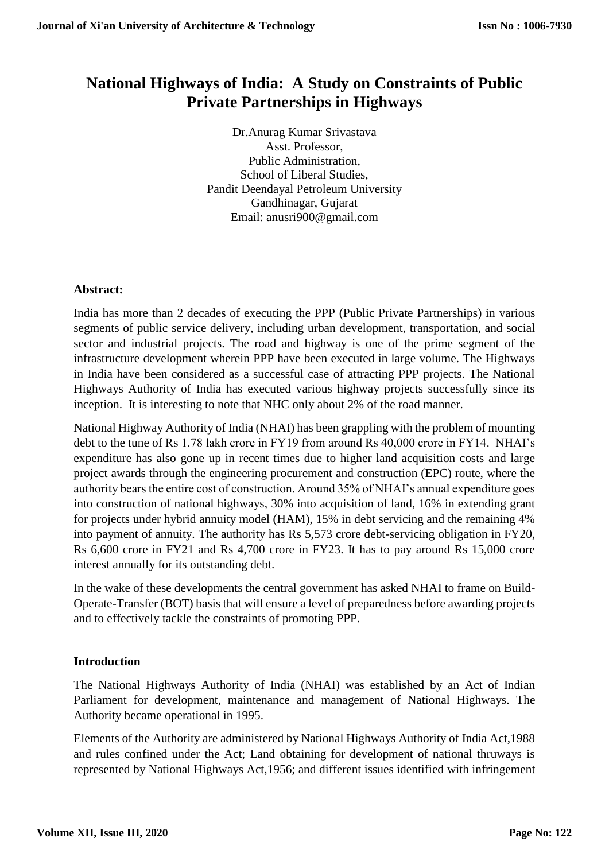# **National Highways of India: A Study on Constraints of Public Private Partnerships in Highways**

Dr.Anurag Kumar Srivastava Asst. Professor, Public Administration, School of Liberal Studies, Pandit Deendayal Petroleum University Gandhinagar, Gujarat Email: [anusri900@gmail.com](mailto:anusri900@gmail.com)

## **Abstract:**

India has more than 2 decades of executing the PPP (Public Private Partnerships) in various segments of public service delivery, including urban development, transportation, and social sector and industrial projects. The road and highway is one of the prime segment of the infrastructure development wherein PPP have been executed in large volume. The Highways in India have been considered as a successful case of attracting PPP projects. The National Highways Authority of India has executed various highway projects successfully since its inception. It is interesting to note that NHC only about 2% of the road manner.

National Highway Authority of India (NHAI) has been grappling with the problem of mounting debt to the tune of Rs 1.78 lakh crore in FY19 from around Rs 40,000 crore in FY14. NHAI's expenditure has also gone up in recent times due to higher land acquisition costs and large project awards through the engineering procurement and construction (EPC) route, where the authority bears the entire cost of construction. Around 35% of NHAI's annual expenditure goes into construction of national highways, 30% into acquisition of land, 16% in extending grant for projects under hybrid annuity model (HAM), 15% in debt servicing and the remaining 4% into payment of annuity. The authority has Rs 5,573 crore debt-servicing obligation in FY20, Rs 6,600 crore in FY21 and Rs 4,700 crore in FY23. It has to pay around Rs 15,000 crore interest annually for its outstanding debt.

In the wake of these developments the central government has asked NHAI to frame on Build-Operate-Transfer (BOT) basis that will ensure a level of preparedness before awarding projects and to effectively tackle the constraints of promoting PPP.

## **Introduction**

The National Highways Authority of India (NHAI) was established by an Act of Indian Parliament for development, maintenance and management of National Highways. The Authority became operational in 1995.

Elements of the Authority are administered by National Highways Authority of India Act,1988 and rules confined under the Act; Land obtaining for development of national thruways is represented by National Highways Act,1956; and different issues identified with infringement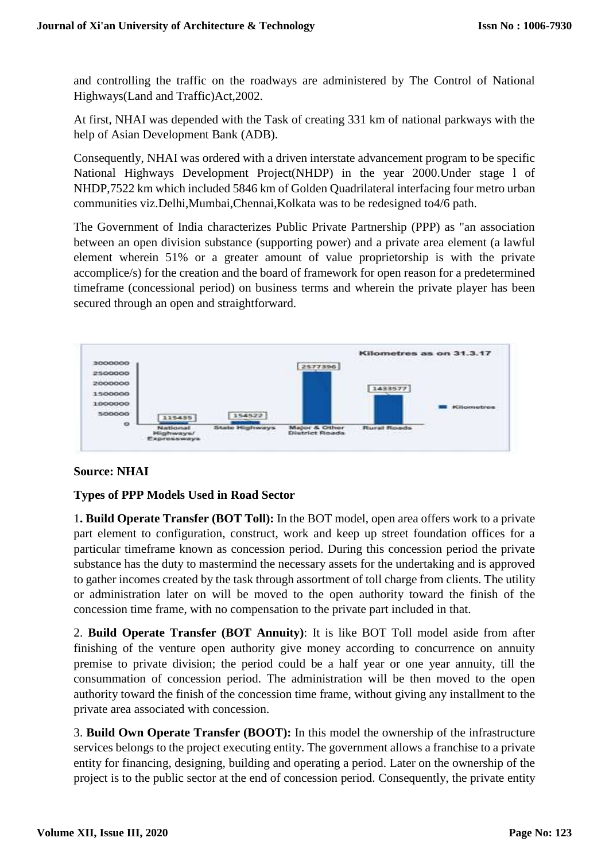and controlling the traffic on the roadways are administered by The Control of National Highways(Land and Traffic)Act,2002.

At first, NHAI was depended with the Task of creating 331 km of national parkways with the help of Asian Development Bank (ADB).

Consequently, NHAI was ordered with a driven interstate advancement program to be specific National Highways Development Project(NHDP) in the year 2000.Under stage l of NHDP,7522 km which included 5846 km of Golden Quadrilateral interfacing four metro urban communities viz.Delhi,Mumbai,Chennai,Kolkata was to be redesigned to4/6 path.

The Government of India characterizes Public Private Partnership (PPP) as "an association between an open division substance (supporting power) and a private area element (a lawful element wherein 51% or a greater amount of value proprietorship is with the private accomplice/s) for the creation and the board of framework for open reason for a predetermined timeframe (concessional period) on business terms and wherein the private player has been secured through an open and straightforward.



#### **Source: NHAI**

#### **Types of PPP Models Used in Road Sector**

1**. Build Operate Transfer (BOT Toll):** In the BOT model, open area offers work to a private part element to configuration, construct, work and keep up street foundation offices for a particular timeframe known as concession period. During this concession period the private substance has the duty to mastermind the necessary assets for the undertaking and is approved to gather incomes created by the task through assortment of toll charge from clients. The utility or administration later on will be moved to the open authority toward the finish of the concession time frame, with no compensation to the private part included in that.

2. **Build Operate Transfer (BOT Annuity)**: It is like BOT Toll model aside from after finishing of the venture open authority give money according to concurrence on annuity premise to private division; the period could be a half year or one year annuity, till the consummation of concession period. The administration will be then moved to the open authority toward the finish of the concession time frame, without giving any installment to the private area associated with concession.

3. **Build Own Operate Transfer (BOOT):** In this model the ownership of the infrastructure services belongs to the project executing entity. The government allows a franchise to a private entity for financing, designing, building and operating a period. Later on the ownership of the project is to the public sector at the end of concession period. Consequently, the private entity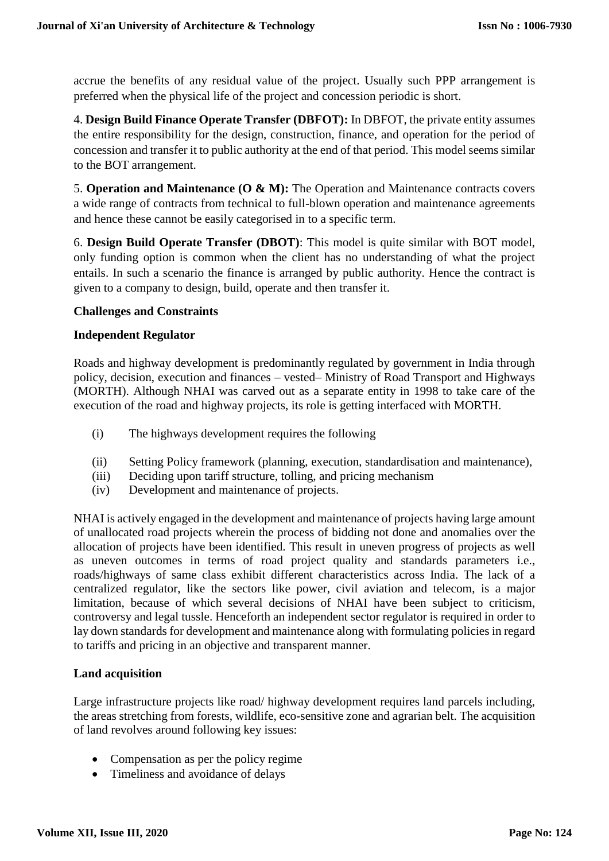accrue the benefits of any residual value of the project. Usually such PPP arrangement is preferred when the physical life of the project and concession periodic is short.

4. **Design Build Finance Operate Transfer (DBFOT):** In DBFOT, the private entity assumes the entire responsibility for the design, construction, finance, and operation for the period of concession and transfer it to public authority at the end of that period. This model seems similar to the BOT arrangement.

5. **Operation and Maintenance (O & M):** The Operation and Maintenance contracts covers a wide range of contracts from technical to full-blown operation and maintenance agreements and hence these cannot be easily categorised in to a specific term.

6. **Design Build Operate Transfer (DBOT)**: This model is quite similar with BOT model, only funding option is common when the client has no understanding of what the project entails. In such a scenario the finance is arranged by public authority. Hence the contract is given to a company to design, build, operate and then transfer it.

#### **Challenges and Constraints**

#### **Independent Regulator**

Roads and highway development is predominantly regulated by government in India through policy, decision, execution and finances – vested– Ministry of Road Transport and Highways (MORTH). Although NHAI was carved out as a separate entity in 1998 to take care of the execution of the road and highway projects, its role is getting interfaced with MORTH.

- (i) The highways development requires the following
- (ii) Setting Policy framework (planning, execution, standardisation and maintenance),
- (iii) Deciding upon tariff structure, tolling, and pricing mechanism
- (iv) Development and maintenance of projects.

NHAI is actively engaged in the development and maintenance of projects having large amount of unallocated road projects wherein the process of bidding not done and anomalies over the allocation of projects have been identified. This result in uneven progress of projects as well as uneven outcomes in terms of road project quality and standards parameters i.e., roads/highways of same class exhibit different characteristics across India. The lack of a centralized regulator, like the sectors like power, civil aviation and telecom, is a major limitation, because of which several decisions of NHAI have been subject to criticism, controversy and legal tussle. Henceforth an independent sector regulator is required in order to lay down standards for development and maintenance along with formulating policies in regard to tariffs and pricing in an objective and transparent manner.

#### **Land acquisition**

Large infrastructure projects like road/ highway development requires land parcels including, the areas stretching from forests, wildlife, eco-sensitive zone and agrarian belt. The acquisition of land revolves around following key issues:

- Compensation as per the policy regime
- Timeliness and avoidance of delays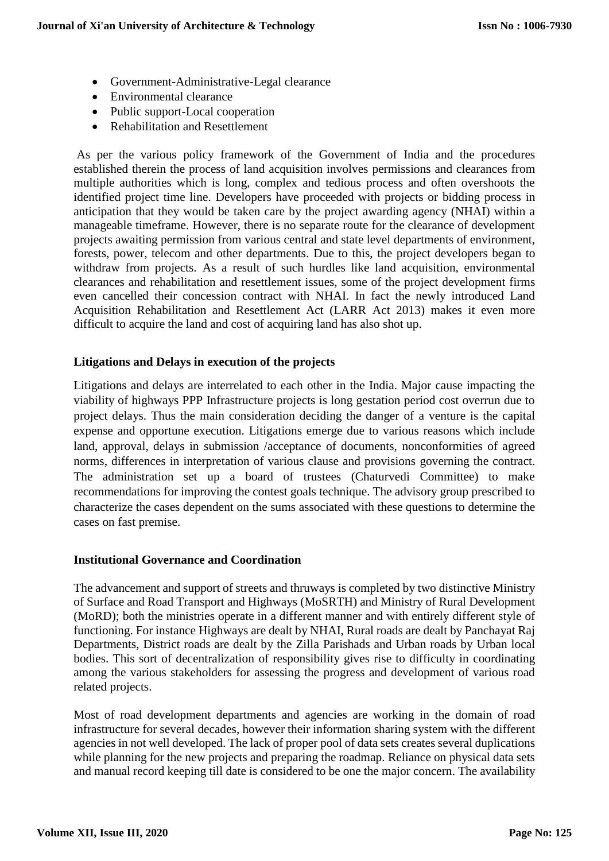- Government-Administrative-Legal clearance
- Environmental clearance
- Public support-Local cooperation
- Rehabilitation and Resettlement

As per the various policy framework of the Government of India and the procedures established therein the process of land acquisition involves permissions and clearances from multiple authorities which is long, complex and tedious process and often overshoots the identified project time line. Developers have proceeded with projects or bidding process in anticipation that they would be taken care by the project awarding agency (NHAI) within a manageable timeframe. However, there is no separate route for the clearance of development projects awaiting permission from various central and state level departments of environment, forests, power, telecom and other departments. Due to this, the project developers began to withdraw from projects. As a result of such hurdles like land acquisition, environmental clearances and rehabilitation and resettlement issues, some of the project development firms even cancelled their concession contract with NHAI. In fact the newly introduced Land Acquisition Rehabilitation and Resettlement Act (LARR Act 2013) makes it even more difficult to acquire the land and cost of acquiring land has also shot up.

#### **Litigations and Delays in execution of the projects**

Litigations and delays are interrelated to each other in the India. Major cause impacting the viability of highways PPP Infrastructure projects is long gestation period cost overrun due to project delays. Thus the main consideration deciding the danger of a venture is the capital expense and opportune execution. Litigations emerge due to various reasons which include land, approval, delays in submission /acceptance of documents, nonconformities of agreed norms, differences in interpretation of various clause and provisions governing the contract. The administration set up a board of trustees (Chaturvedi Committee) to make recommendations for improving the contest goals technique. The advisory group prescribed to characterize the cases dependent on the sums associated with these questions to determine the cases on fast premise.

#### **Institutional Governance and Coordination**

The advancement and support of streets and thruways is completed by two distinctive Ministry of Surface and Road Transport and Highways (MoSRTH) and Ministry of Rural Development (MoRD); both the ministries operate in a different manner and with entirely different style of functioning. For instance Highways are dealt by NHAI, Rural roads are dealt by Panchayat Raj Departments, District roads are dealt by the Zilla Parishads and Urban roads by Urban local bodies. This sort of decentralization of responsibility gives rise to difficulty in coordinating among the various stakeholders for assessing the progress and development of various road related projects.

Most of road development departments and agencies are working in the domain of road infrastructure for several decades, however their information sharing system with the different agencies in not well developed. The lack of proper pool of data sets creates several duplications while planning for the new projects and preparing the roadmap. Reliance on physical data sets and manual record keeping till date is considered to be one the major concern. The availability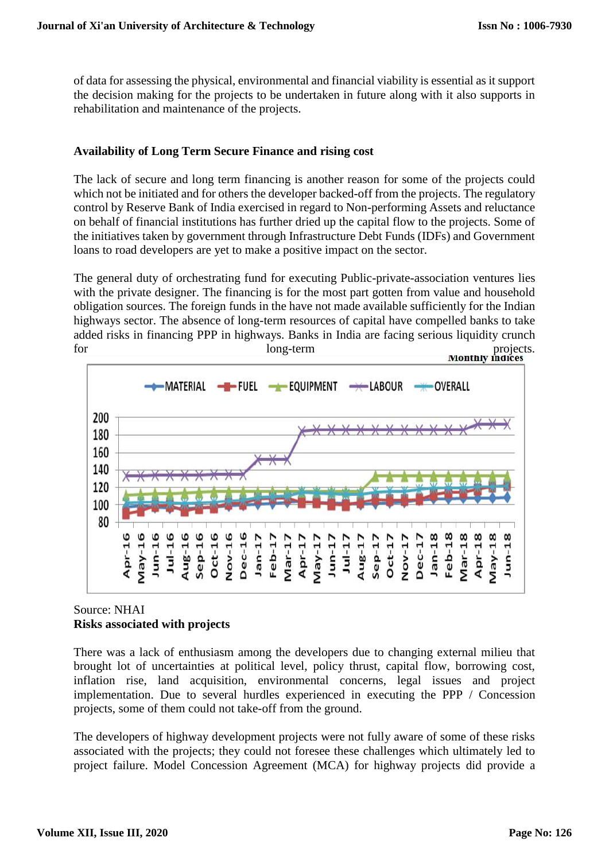of data for assessing the physical, environmental and financial viability is essential as it support the decision making for the projects to be undertaken in future along with it also supports in rehabilitation and maintenance of the projects.

## **Availability of Long Term Secure Finance and rising cost**

The lack of secure and long term financing is another reason for some of the projects could which not be initiated and for others the developer backed-off from the projects. The regulatory control by Reserve Bank of India exercised in regard to Non-performing Assets and reluctance on behalf of financial institutions has further dried up the capital flow to the projects. Some of the initiatives taken by government through Infrastructure Debt Funds (IDFs) and Government loans to road developers are yet to make a positive impact on the sector.

The general duty of orchestrating fund for executing Public-private-association ventures lies with the private designer. The financing is for the most part gotten from value and household obligation sources. The foreign funds in the have not made available sufficiently for the Indian highways sector. The absence of long-term resources of capital have compelled banks to take added risks in financing PPP in highways. Banks in India are facing serious liquidity crunch for long-term projects.



### Source: NHAI **Risks associated with projects**

There was a lack of enthusiasm among the developers due to changing external milieu that brought lot of uncertainties at political level, policy thrust, capital flow, borrowing cost, inflation rise, land acquisition, environmental concerns, legal issues and project implementation. Due to several hurdles experienced in executing the PPP / Concession projects, some of them could not take-off from the ground.

The developers of highway development projects were not fully aware of some of these risks associated with the projects; they could not foresee these challenges which ultimately led to project failure. Model Concession Agreement (MCA) for highway projects did provide a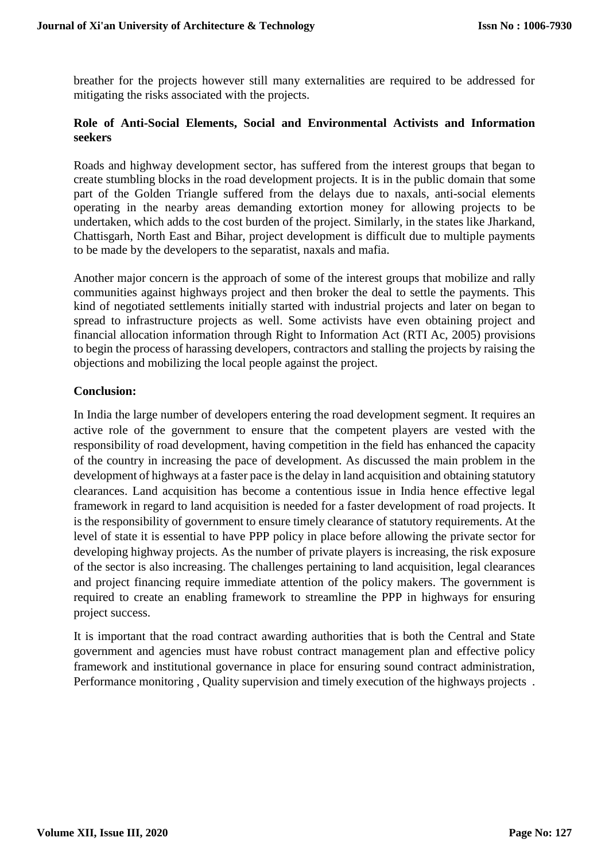breather for the projects however still many externalities are required to be addressed for mitigating the risks associated with the projects.

### **Role of Anti-Social Elements, Social and Environmental Activists and Information seekers**

Roads and highway development sector, has suffered from the interest groups that began to create stumbling blocks in the road development projects. It is in the public domain that some part of the Golden Triangle suffered from the delays due to naxals, anti-social elements operating in the nearby areas demanding extortion money for allowing projects to be undertaken, which adds to the cost burden of the project. Similarly, in the states like Jharkand, Chattisgarh, North East and Bihar, project development is difficult due to multiple payments to be made by the developers to the separatist, naxals and mafia.

Another major concern is the approach of some of the interest groups that mobilize and rally communities against highways project and then broker the deal to settle the payments. This kind of negotiated settlements initially started with industrial projects and later on began to spread to infrastructure projects as well. Some activists have even obtaining project and financial allocation information through Right to Information Act (RTI Ac, 2005) provisions to begin the process of harassing developers, contractors and stalling the projects by raising the objections and mobilizing the local people against the project.

### **Conclusion:**

In India the large number of developers entering the road development segment. It requires an active role of the government to ensure that the competent players are vested with the responsibility of road development, having competition in the field has enhanced the capacity of the country in increasing the pace of development. As discussed the main problem in the development of highways at a faster pace is the delay in land acquisition and obtaining statutory clearances. Land acquisition has become a contentious issue in India hence effective legal framework in regard to land acquisition is needed for a faster development of road projects. It is the responsibility of government to ensure timely clearance of statutory requirements. At the level of state it is essential to have PPP policy in place before allowing the private sector for developing highway projects. As the number of private players is increasing, the risk exposure of the sector is also increasing. The challenges pertaining to land acquisition, legal clearances and project financing require immediate attention of the policy makers. The government is required to create an enabling framework to streamline the PPP in highways for ensuring project success.

It is important that the road contract awarding authorities that is both the Central and State government and agencies must have robust contract management plan and effective policy framework and institutional governance in place for ensuring sound contract administration, Performance monitoring , Quality supervision and timely execution of the highways projects .